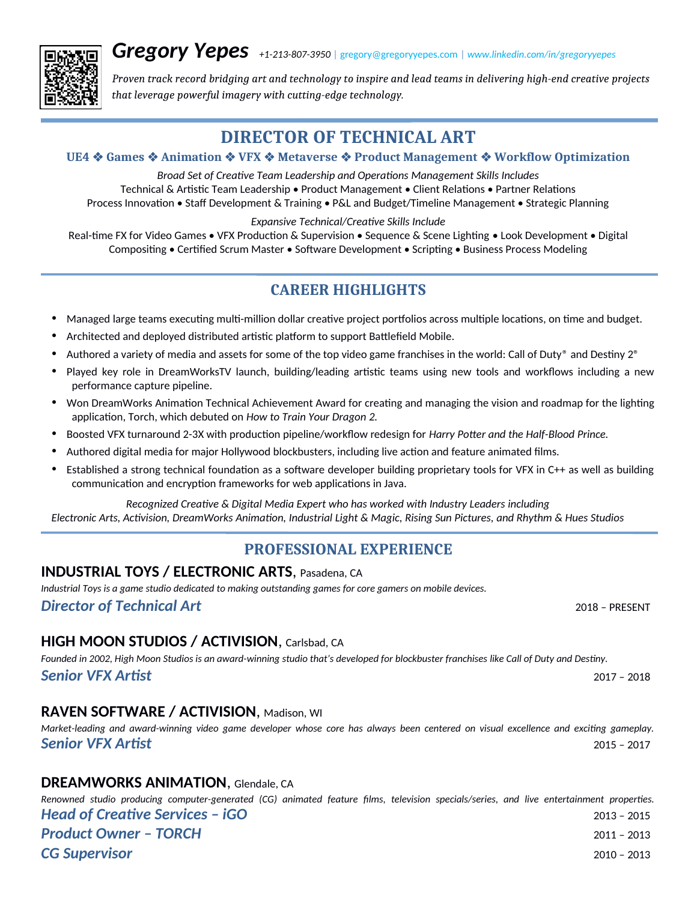*Gregory Yepes +1-213-807-3950* **<sup>|</sup>**[gregory@gregoryyepes.com](mailto:gregory@gregoryyepes.com) **<sup>|</sup>***[www.linkedin.com/in/gregoryyepes](https://www.linkedin.com/in/gregoryyepes)*



*Proven track record bridging art and technology to inspire and lead teams in delivering high-end creative projects that leverage powerful imagery with cutting-edge technology.*

# **DIRECTOR OF TECHNICAL ART**

#### **UE4 Games Animation VFX Metaverse Product Management Workflow Optimization**

*Broad Set of Creative Team Leadership and Operations Management Skills Includes* Technical & Artistic Team Leadership • Product Management • Client Relations • Partner Relations Process Innovation • Staff Development & Training • P&L and Budget/Timeline Management • Strategic Planning

*Expansive Technical/Creative Skills Include*

Real-time FX for Video Games • VFX Production & Supervision • Sequence & Scene Lighting • Look Development • Digital Compositing • Certified Scrum Master • Software Development • Scripting • Business Process Modeling

# **CAREER HIGHLIGHTS**

- Managed large teams executing multi-million dollar creative project portfolios across multiple locations, on time and budget.
- Architected and deployed distributed artistic platform to support Battlefield Mobile.
- Authored a variety of media and assets for some of the top video game franchises in the world: Call of Duty® and Destiny 2<sup>®</sup>
- Played key role in DreamWorksTV launch, building/leading artistic teams using new tools and workflows including a new performance capture pipeline.
- Won DreamWorks Animation Technical Achievement Award for creating and managing the vision and roadmap for the lighting application, Torch, which debuted on *How to Train Your Dragon 2.*
- Boosted VFX turnaround 2-3X with production pipeline/workflow redesign for *Harry Potter and the Half-Blood Prince.*
- Authored digital media for major Hollywood blockbusters, including live action and feature animated films.
- Established a strong technical foundation as a software developer building proprietary tools for VFX in C++ as well as building communication and encryption frameworks for web applications in Java.

*Recognized Creative & Digital Media Expert who has worked with Industry Leaders including Electronic Arts, Activision, DreamWorks Animation, Industrial Light & Magic, Rising Sun Pictures, and Rhythm & Hues Studios*

# **PROFESSIONAL EXPERIENCE**

#### **INDUSTRIAL TOYS / ELECTRONIC ARTS**, Pasadena, CA

*Industrial Toys is a game studio dedicated to making outstanding games for core gamers on mobile devices. Director of Technical Art*2018 – PRESENT

## **HIGH MOON STUDIOS / ACTIVISION**, Carlsbad, CA

*Founded in 2002, High Moon Studios is an award-winning studio that's developed for blockbuster franchises like Call of Duty and Destiny. Senior VFX Artist*2017 – 2018

## **RAVEN SOFTWARE / ACTIVISION**, Madison, WI

# **DREAMWORKS ANIMATION**, Glendale, CA

*Renowned studio producing computer-generated (CG) animated feature films, television specials/series, and live entertainment properties. Head of Creative Services – iGO*2013 – 2015 *Product Owner – TORCH*2011 – 2013 *CG Supervisor*2010 – 2013

*Market-leading and award-winning video game developer whose core has always been centered on visual excellence and exciting gameplay. Senior VFX Artist*2015 – 2017